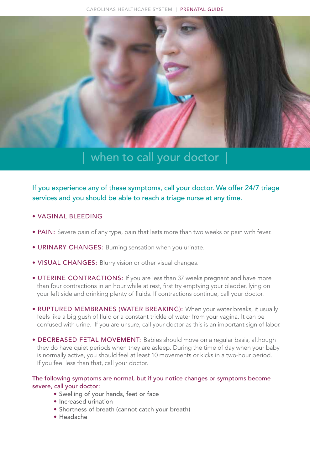

## | when to call your doctor |

If you experience any of these symptoms, call your doctor. We offer 24/7 triage services and you should be able to reach a triage nurse at any time.

- VAGINAL BLEEDING
- PAIN: Severe pain of any type, pain that lasts more than two weeks or pain with fever.
- URINARY CHANGES: Burning sensation when you urinate.
- VISUAL CHANGES: Blurry vision or other visual changes.
- UTERINE CONTRACTIONS: If you are less than 37 weeks pregnant and have more than four contractions in an hour while at rest, first try emptying your bladder, lying on your left side and drinking plenty of fluids. If contractions continue, call your doctor.
- RUPTURED MEMBRANES (WATER BREAKING): When your water breaks, it usually feels like a big gush of fluid or a constant trickle of water from your vagina. It can be confused with urine. If you are unsure, call your doctor as this is an important sign of labor.
- DECREASED FETAL MOVEMENT: Babies should move on a regular basis, although they do have quiet periods when they are asleep. During the time of day when your baby is normally active, you should feel at least 10 movements or kicks in a two-hour period. If you feel less than that, call your doctor.

## The following symptoms are normal, but if you notice changes or symptoms become severe, call your doctor:

- Swelling of your hands, feet or face
- Increased urination
- Shortness of breath (cannot catch your breath)
- Headache